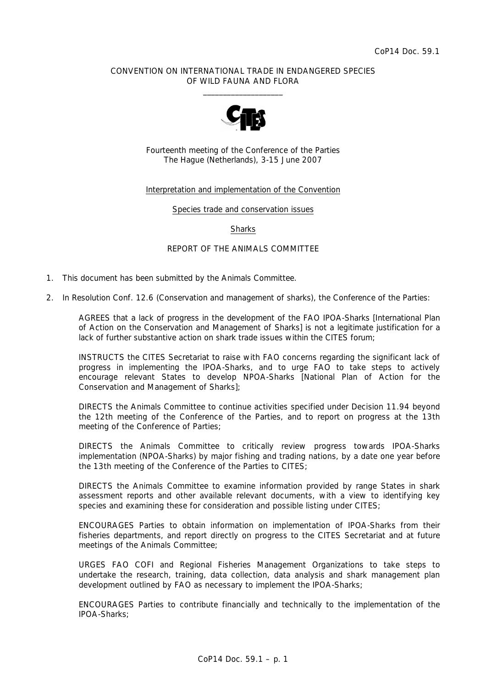## CONVENTION ON INTERNATIONAL TRADE IN ENDANGERED SPECIES OF WILD FAUNA AND FLORA  $\frac{1}{2}$  , and the set of the set of the set of the set of the set of the set of the set of the set of the set of the set of the set of the set of the set of the set of the set of the set of the set of the set of the set



Fourteenth meeting of the Conference of the Parties The Hague (Netherlands), 3-15 June 2007

## Interpretation and implementation of the Convention

Species trade and conservation issues

**Sharks** 

### REPORT OF THE ANIMALS COMMITTEE

- 1. This document has been submitted by the Animals Committee.
- 2. In Resolution Conf. 12.6 (Conservation and management of sharks), the Conference of the Parties:

*AGREES that a lack of progress in the development of the FAO IPOA-Sharks* [International Plan of Action on the Conservation and Management of Sharks] *is not a legitimate justification for a lack of further substantive action on shark trade issues within the CITES forum;* 

*INSTRUCTS the CITES Secretariat to raise with FAO concerns regarding the significant lack of progress in implementing the IPOA-Sharks, and to urge FAO to take steps to actively encourage relevant States to develop NPOA-Sharks* [National Plan of Action for the Conservation and Management of Sharks]*;* 

*DIRECTS the Animals Committee to continue activities specified under Decision 11.94 beyond the 12th meeting of the Conference of the Parties, and to report on progress at the 13th meeting of the Conference of Parties;* 

*DIRECTS the Animals Committee to critically review progress towards IPOA-Sharks implementation (NPOA-Sharks) by major fishing and trading nations, by a date one year before the 13th meeting of the Conference of the Parties to CITES;* 

*DIRECTS the Animals Committee to examine information provided by range States in shark assessment reports and other available relevant documents, with a view to identifying key species and examining these for consideration and possible listing under CITES;* 

*ENCOURAGES Parties to obtain information on implementation of IPOA-Sharks from their fisheries departments, and report directly on progress to the CITES Secretariat and at future meetings of the Animals Committee;* 

*URGES FAO COFI and Regional Fisheries Management Organizations to take steps to undertake the research, training, data collection, data analysis and shark management plan development outlined by FAO as necessary to implement the IPOA-Sharks;* 

*ENCOURAGES Parties to contribute financially and technically to the implementation of the IPOA-Sharks;*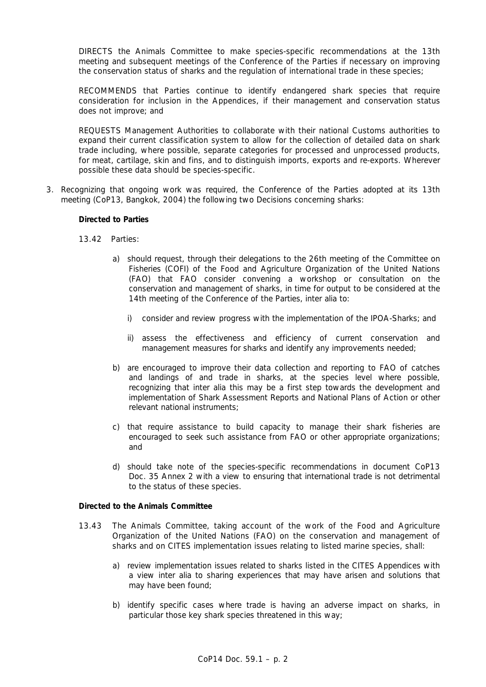*DIRECTS the Animals Committee to make species-specific recommendations at the 13th meeting and subsequent meetings of the Conference of the Parties if necessary on improving the conservation status of sharks and the regulation of international trade in these species;* 

*RECOMMENDS that Parties continue to identify endangered shark species that require consideration for inclusion in the Appendices, if their management and conservation status does not improve; and* 

*REQUESTS Management Authorities to collaborate with their national Customs authorities to expand their current classification system to allow for the collection of detailed data on shark trade including, where possible, separate categories for processed and unprocessed products, for meat, cartilage, skin and fins, and to distinguish imports, exports and re-exports. Wherever possible these data should be species-specific.* 

3. Recognizing that ongoing work was required, the Conference of the Parties adopted at its 13th meeting (CoP13, Bangkok, 2004) the following two Decisions concerning sharks:

### *Directed to Parties*

- *13.42 Parties:* 
	- *a) should request, through their delegations to the 26th meeting of the Committee on Fisheries (COFI) of the Food and Agriculture Organization of the United Nations (FAO) that FAO consider convening a workshop or consultation on the conservation and management of sharks, in time for output to be considered at the 14th meeting of the Conference of the Parties,* inter alia *to:* 
		- *i) consider and review progress with the implementation of the IPOA-Sharks; and*
		- *ii) assess the effectiveness and efficiency of current conservation and management measures for sharks and identify any improvements needed;*
	- *b) are encouraged to improve their data collection and reporting to FAO of catches and landings of and trade in sharks, at the species level where possible, recognizing that inter alia this may be a first step towards the development and implementation of Shark Assessment Reports and National Plans of Action or other relevant national instruments;*
	- *c) that require assistance to build capacity to manage their shark fisheries are encouraged to seek such assistance from FAO or other appropriate organizations; and*
	- *d) should take note of the species-specific recommendations in document CoP13 Doc. 35 Annex 2 with a view to ensuring that international trade is not detrimental to the status of these species.*

### *Directed to the Animals Committee*

- *13.43 The Animals Committee, taking account of the work of the Food and Agriculture Organization of the United Nations (FAO) on the conservation and management of sharks and on CITES implementation issues relating to listed marine species, shall:* 
	- *a) review implementation issues related to sharks listed in the CITES Appendices with a view* inter alia *to sharing experiences that may have arisen and solutions that may have been found;*
	- *b) identify specific cases where trade is having an adverse impact on sharks, in particular those key shark species threatened in this way;*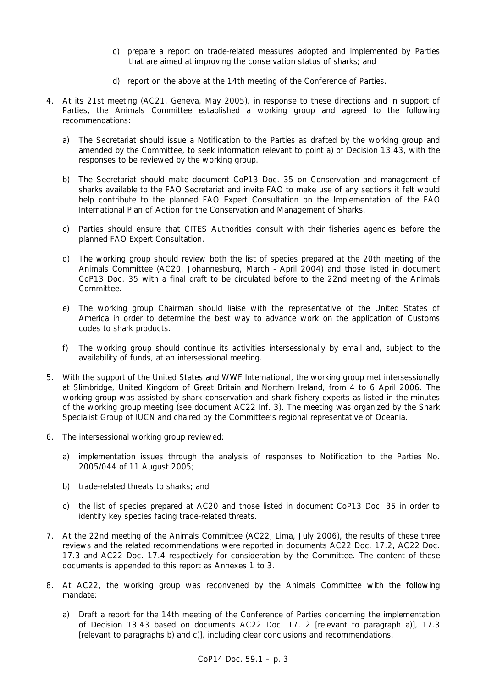- *c) prepare a report on trade-related measures adopted and implemented by Parties that are aimed at improving the conservation status of sharks; and*
- *d) report on the above at the 14th meeting of the Conference of Parties.*
- 4. At its 21st meeting (AC21, Geneva, May 2005), in response to these directions and in support of Parties, the Animals Committee established a working group and agreed to the following recommendations:
	- a) The Secretariat should issue a Notification to the Parties as drafted by the working group and amended by the Committee, to seek information relevant to point a) of Decision 13.43, with the responses to be reviewed by the working group.
	- b) The Secretariat should make document CoP13 Doc. 35 on Conservation and management of sharks available to the FAO Secretariat and invite FAO to make use of any sections it felt would help contribute to the planned FAO Expert Consultation on the Implementation of the FAO International Plan of Action for the Conservation and Management of Sharks.
	- c) Parties should ensure that CITES Authorities consult with their fisheries agencies before the planned FAO Expert Consultation.
	- d) The working group should review both the list of species prepared at the 20th meeting of the Animals Committee (AC20, Johannesburg, March - April 2004) and those listed in document CoP13 Doc. 35 with a final draft to be circulated before to the 22nd meeting of the Animals Committee.
	- e) The working group Chairman should liaise with the representative of the United States of America in order to determine the best way to advance work on the application of Customs codes to shark products.
	- f) The working group should continue its activities intersessionally by email and, subject to the availability of funds, at an intersessional meeting.
- 5. With the support of the United States and WWF International, the working group met intersessionally at Slimbridge, United Kingdom of Great Britain and Northern Ireland, from 4 to 6 April 2006. The working group was assisted by shark conservation and shark fishery experts as listed in the minutes of the working group meeting (see document AC22 Inf. 3). The meeting was organized by the Shark Specialist Group of IUCN and chaired by the Committee's regional representative of Oceania.
- 6. The intersessional working group reviewed:
	- a) implementation issues through the analysis of responses to Notification to the Parties No. 2005/044 of 11 August 2005;
	- b) trade-related threats to sharks; and
	- c) the list of species prepared at AC20 and those listed in document CoP13 Doc. 35 in order to identify key species facing trade-related threats.
- 7. At the 22nd meeting of the Animals Committee (AC22, Lima, July 2006), the results of these three reviews and the related recommendations were reported in documents AC22 Doc. 17.2, AC22 Doc. 17.3 and AC22 Doc. 17.4 respectively for consideration by the Committee. The content of these documents is appended to this report as Annexes 1 to 3.
- 8. At AC22, the working group was reconvened by the Animals Committee with the following mandate:
	- a) *Draft a report for the 14th meeting of the Conference of Parties concerning the implementation of Decision 13.43 based on documents AC22 Doc. 17. 2 [relevant to paragraph a)], 17.3 [relevant to paragraphs b) and c)], including clear conclusions and recommendations.*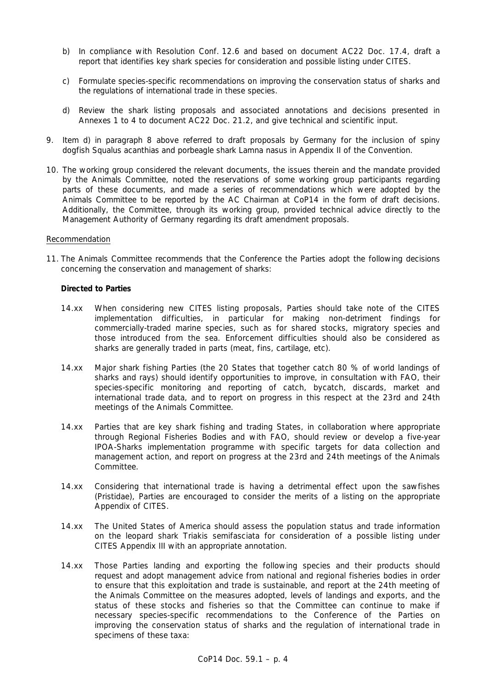- b) In compliance with Resolution Conf. 12.6 and based on document AC22 Doc. 17.4, draft a *report that identifies key shark species for consideration and possible listing under CITES.*
- c) *Formulate species-specific recommendations on improving the conservation status of sharks and the regulations of international trade in these species.*
- d) *Review the shark listing proposals and associated annotations and decisions presented in Annexes 1 to 4 to document AC22 Doc. 21.2, and give technical and scientific input.*
- 9. Item d) in paragraph 8 above referred to draft proposals by Germany for the inclusion of spiny dogfish *Squalus acanthias* and porbeagle shark *Lamna nasus* in Appendix II of the Convention.
- 10. The working group considered the relevant documents, the issues therein and the mandate provided by the Animals Committee, noted the reservations of some working group participants regarding parts of these documents, and made a series of recommendations which were adopted by the Animals Committee to be reported by the AC Chairman at CoP14 in the form of draft decisions. Additionally, the Committee, through its working group, provided technical advice directly to the Management Authority of Germany regarding its draft amendment proposals.

### Recommendation

11. The Animals Committee recommends that the Conference the Parties adopt the following decisions concerning the conservation and management of sharks:

### *Directed to Parties*

- 14.xx When considering new CITES listing proposals, Parties should take note of the CITES implementation difficulties, in particular for making non-detriment findings for commercially-traded marine species, such as for shared stocks, migratory species and those introduced from the sea. Enforcement difficulties should also be considered as sharks are generally traded in parts (meat, fins, cartilage, etc).
- 14.xx Major shark fishing Parties (the 20 States that together catch 80 % of world landings of sharks and rays) should identify opportunities to improve, in consultation with FAO, their species-specific monitoring and reporting of catch, bycatch, discards, market and international trade data, and to report on progress in this respect at the 23rd and 24th meetings of the Animals Committee.
- 14.xx Parties that are key shark fishing and trading States, in collaboration where appropriate through Regional Fisheries Bodies and with FAO, should review or develop a five-year IPOA-Sharks implementation programme with specific targets for data collection and management action, and report on progress at the 23rd and 24th meetings of the Animals Committee.
- 14.xx Considering that international trade is having a detrimental effect upon the sawfishes (Pristidae), Parties are encouraged to consider the merits of a listing on the appropriate Appendix of CITES.
- 14.xx The United States of America should assess the population status and trade information on the leopard shark *Triakis semifasciata* for consideration of a possible listing under CITES Appendix III with an appropriate annotation.
- 14.xx Those Parties landing and exporting the following species and their products should request and adopt management advice from national and regional fisheries bodies in order to ensure that this exploitation and trade is sustainable, and report at the 24th meeting of the Animals Committee on the measures adopted, levels of landings and exports, and the status of these stocks and fisheries so that the Committee can continue to make if necessary species-specific recommendations to the Conference of the Parties on improving the conservation status of sharks and the regulation of international trade in specimens of these taxa: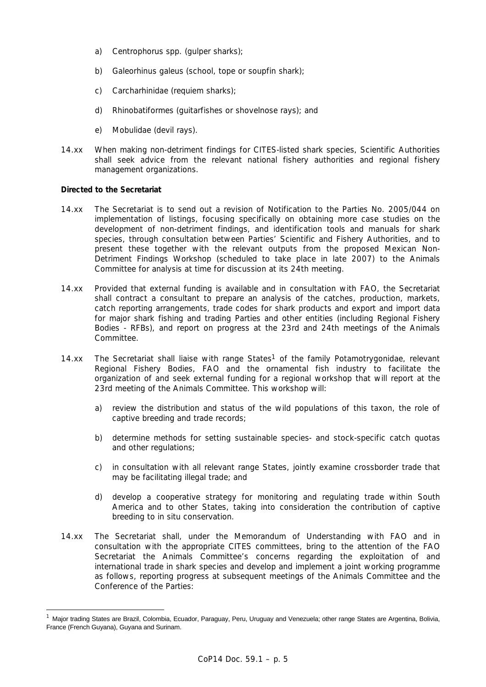- a) *Centrophorus* spp. (gulper sharks);
- b) *Galeorhinus galeus* (school, tope or soupfin shark);
- c) Carcharhinidae (requiem sharks);
- d) Rhinobatiformes (guitarfishes or shovelnose rays); and
- e) Mobulidae (devil rays).
- 14.xx When making non-detriment findings for CITES-listed shark species, Scientific Authorities shall seek advice from the relevant national fishery authorities and regional fishery management organizations.

## *Directed to the Secretariat*

- 14.xx The Secretariat is to send out a revision of Notification to the Parties No. 2005/044 on implementation of listings, focusing specifically on obtaining more case studies on the development of non-detriment findings, and identification tools and manuals for shark species, through consultation between Parties' Scientific and Fishery Authorities, and to present these together with the relevant outputs from the proposed Mexican Non-Detriment Findings Workshop (scheduled to take place in late 2007) to the Animals Committee for analysis at time for discussion at its 24th meeting.
- 14.xx Provided that external funding is available and in consultation with FAO, the Secretariat shall contract a consultant to prepare an analysis of the catches, production, markets, catch reporting arrangements, trade codes for shark products and export and import data for major shark fishing and trading Parties and other entities (including Regional Fishery Bodies - RFBs), and report on progress at the 23rd and 24th meetings of the Animals Committee.
- 14.xx The Secretariat shall liaise with range States<sup>1</sup> of the family Potamotrygonidae, relevant Regional Fishery Bodies, FAO and the ornamental fish industry to facilitate the organization of and seek external funding for a regional workshop that will report at the 23rd meeting of the Animals Committee. This workshop will:
	- a) review the distribution and status of the wild populations of this taxon, the role of captive breeding and trade records;
	- b) determine methods for setting sustainable species- and stock-specific catch quotas and other regulations;
	- c) in consultation with all relevant range States, jointly examine crossborder trade that may be facilitating illegal trade; and
	- d) develop a cooperative strategy for monitoring and regulating trade within South America and to other States, taking into consideration the contribution of captive breeding to *in situ* conservation.
- 14.xx The Secretariat shall, under the Memorandum of Understanding with FAO and in consultation with the appropriate CITES committees, bring to the attention of the FAO Secretariat the Animals Committee's concerns regarding the exploitation of and international trade in shark species and develop and implement a joint working programme as follows, reporting progress at subsequent meetings of the Animals Committee and the Conference of the Parties:

<sup>1</sup> Major trading States are Brazil, Colombia, Ecuador, Paraguay, Peru, Uruguay and Venezuela; other range States are Argentina, Bolivia, France (French Guyana), Guyana and Surinam.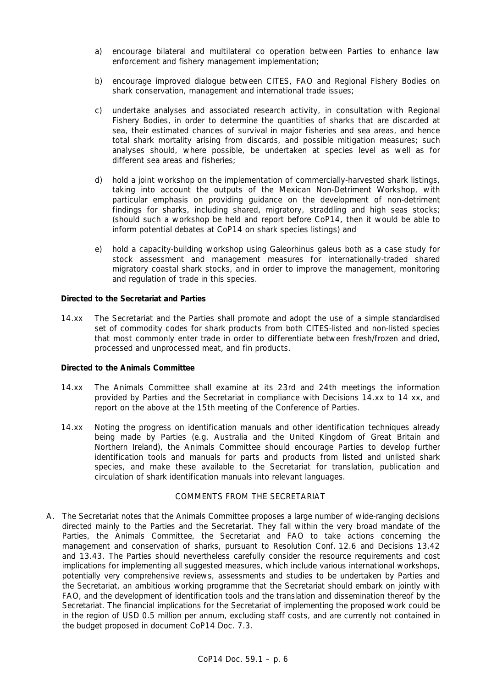- a) encourage bilateral and multilateral co operation between Parties to enhance law enforcement and fishery management implementation;
- b) encourage improved dialogue between CITES, FAO and Regional Fishery Bodies on shark conservation, management and international trade issues;
- c) undertake analyses and associated research activity, in consultation with Regional Fishery Bodies, in order to determine the quantities of sharks that are discarded at sea, their estimated chances of survival in major fisheries and sea areas, and hence total shark mortality arising from discards, and possible mitigation measures; such analyses should, where possible, be undertaken at species level as well as for different sea areas and fisheries;
- d) hold a joint workshop on the implementation of commercially-harvested shark listings, taking into account the outputs of the Mexican Non-Detriment Workshop, with particular emphasis on providing guidance on the development of non-detriment findings for sharks, including shared, migratory, straddling and high seas stocks; (should such a workshop be held and report before CoP14, then it would be able to inform potential debates at CoP14 on shark species listings) and
- e) hold a capacity-building workshop using *Galeorhinus galeus* both as a case study for stock assessment and management measures for internationally-traded shared migratory coastal shark stocks, and in order to improve the management, monitoring and regulation of trade in this species.

## *Directed to the Secretariat and Parties*

14.xx The Secretariat and the Parties shall promote and adopt the use of a simple standardised set of commodity codes for shark products from both CITES-listed and non-listed species that most commonly enter trade in order to differentiate between fresh/frozen and dried, processed and unprocessed meat, and fin products.

### *Directed to the Animals Committee*

- 14.xx The Animals Committee shall examine at its 23rd and 24th meetings the information provided by Parties and the Secretariat in compliance with Decisions 14.xx to 14 xx, and report on the above at the 15th meeting of the Conference of Parties.
- 14.xx Noting the progress on identification manuals and other identification techniques already being made by Parties (e.g. Australia and the United Kingdom of Great Britain and Northern Ireland), the Animals Committee should encourage Parties to develop further identification tools and manuals for parts and products from listed and unlisted shark species, and make these available to the Secretariat for translation, publication and circulation of shark identification manuals into relevant languages.

### COMMENTS FROM THE SECRETARIAT

A. The Secretariat notes that the Animals Committee proposes a large number of wide-ranging decisions directed mainly to the Parties and the Secretariat. They fall within the very broad mandate of the Parties, the Animals Committee, the Secretariat and FAO to take actions concerning the management and conservation of sharks, pursuant to Resolution Conf. 12.6 and Decisions 13.42 and 13.43. The Parties should nevertheless carefully consider the resource requirements and cost implications for implementing all suggested measures, which include various international workshops, potentially very comprehensive reviews, assessments and studies to be undertaken by Parties and the Secretariat, an ambitious working programme that the Secretariat should embark on jointly with FAO, and the development of identification tools and the translation and dissemination thereof by the Secretariat. The financial implications for the Secretariat of implementing the proposed work could be in the region of USD 0.5 million per annum, excluding staff costs, and are currently not contained in the budget proposed in document CoP14 Doc. 7.3.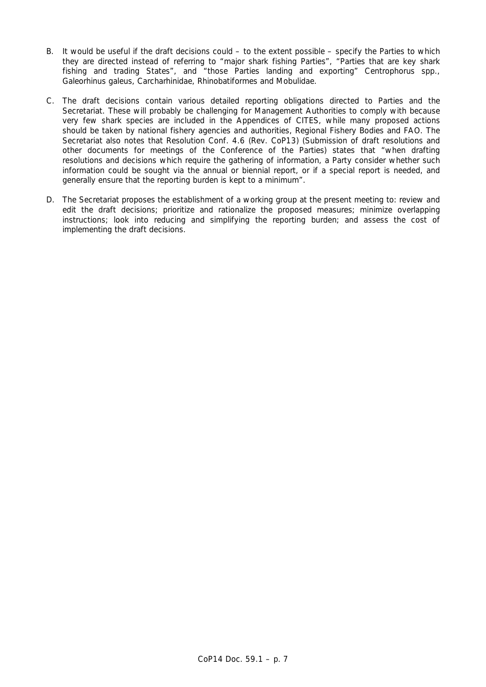- B. It would be useful if the draft decisions could to the extent possible specify the Parties to which they are directed instead of referring to "major shark fishing Parties", "Parties that are key shark fishing and trading States", and "those Parties landing and exporting" *Centrophorus* spp., *Galeorhinus galeus*, Carcharhinidae, Rhinobatiformes and Mobulidae.
- C. The draft decisions contain various detailed reporting obligations directed to Parties and the Secretariat. These will probably be challenging for Management Authorities to comply with because very few shark species are included in the Appendices of CITES, while many proposed actions should be taken by national fishery agencies and authorities, Regional Fishery Bodies and FAO. The Secretariat also notes that Resolution Conf. 4.6 (Rev. CoP13) (Submission of draft resolutions and other documents for meetings of the Conference of the Parties) states that "when drafting resolutions and decisions which require the gathering of information, a Party consider whether such information could be sought via the annual or biennial report, or if a special report is needed, and generally ensure that the reporting burden is kept to a minimum".
- D. The Secretariat proposes the establishment of a working group at the present meeting to: review and edit the draft decisions; prioritize and rationalize the proposed measures; minimize overlapping instructions; look into reducing and simplifying the reporting burden; and assess the cost of implementing the draft decisions.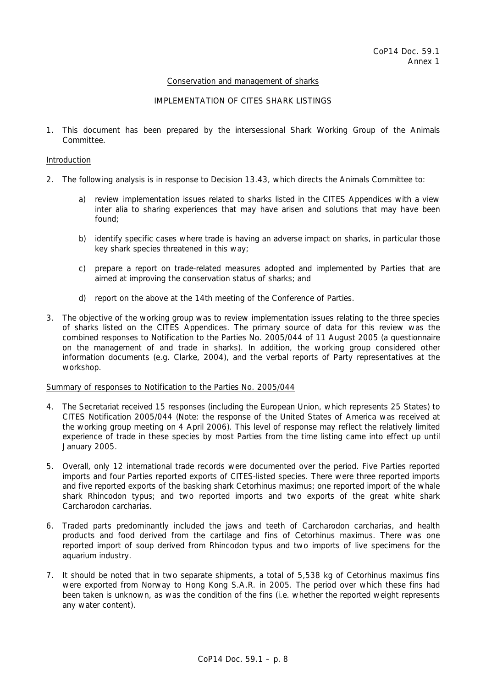## Conservation and management of sharks

## IMPLEMENTATION OF CITES SHARK LISTINGS

1. This document has been prepared by the intersessional Shark Working Group of the Animals Committee.

### Introduction

- 2. The following analysis is in response to Decision 13.43, which directs the Animals Committee to:
	- *a) review implementation issues related to sharks listed in the CITES Appendices with a view*  inter alia *to sharing experiences that may have arisen and solutions that may have been found;*
	- *b) identify specific cases where trade is having an adverse impact on sharks, in particular those key shark species threatened in this way;*
	- *c) prepare a report on trade-related measures adopted and implemented by Parties that are aimed at improving the conservation status of sharks; and*
	- *d) report on the above at the 14th meeting of the Conference of Parties.*
- 3. The objective of the working group was to review implementation issues relating to the three species of sharks listed on the CITES Appendices. The primary source of data for this review was the combined responses to Notification to the Parties No. 2005/044 of 11 August 2005 (a questionnaire on the management of and trade in sharks). In addition, the working group considered other information documents (e.g. Clarke, 2004), and the verbal reports of Party representatives at the workshop.

### Summary of responses to Notification to the Parties No. 2005/044

- 4. The Secretariat received 15 responses (including the European Union, which represents 25 States) to CITES Notification 2005/044 (Note: the response of the United States of America was received at the working group meeting on 4 April 2006). This level of response may reflect the relatively limited experience of trade in these species by most Parties from the time listing came into effect up until January 2005.
- 5. Overall, only 12 international trade records were documented over the period. Five Parties reported imports and four Parties reported exports of CITES-listed species. There were three reported imports and five reported exports of the basking shark *Cetorhinus maximus;* one reported import of the whale shark *Rhincodon typus*; and two reported imports and two exports of the great white shark *Carcharodon carcharias*.
- 6. Traded parts predominantly included the jaws and teeth of *Carcharodon carcharias*, and health products and food derived from the cartilage and fins of *Cetorhinus maximus.* There was one reported import of soup derived from *Rhincodon typus* and two imports of live specimens for the aquarium industry.
- 7. It should be noted that in two separate shipments, a total of 5,538 kg of *Cetorhinus maximus* fins were exported from Norway to Hong Kong S.A.R. in 2005. The period over which these fins had been taken is unknown, as was the condition of the fins (i.e. whether the reported weight represents any water content).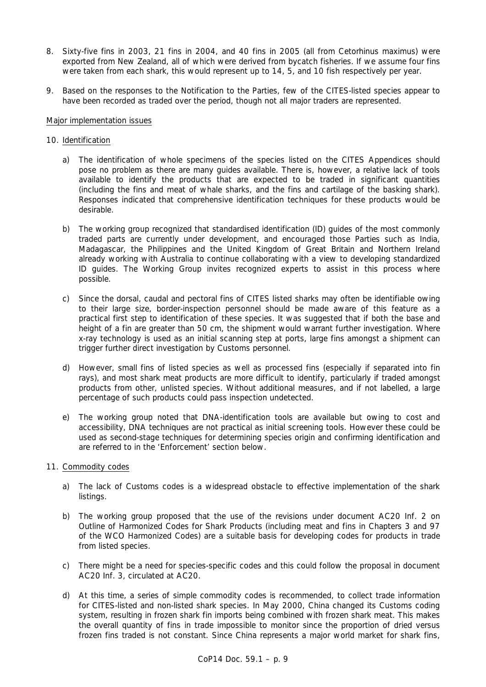- 8. Sixty-five fins in 2003, 21 fins in 2004, and 40 fins in 2005 (all from *Cetorhinus maximus*) were exported from New Zealand, all of which were derived from bycatch fisheries. If we assume four fins were taken from each shark, this would represent up to 14, 5, and 10 fish respectively per year.
- 9. Based on the responses to the Notification to the Parties, few of the CITES-listed species appear to have been recorded as traded over the period, though not all major traders are represented.

## Major implementation issues

# 10. Identification

- a) The identification of whole specimens of the species listed on the CITES Appendices should pose no problem as there are many guides available. There is, however, a relative lack of tools available to identify the products that are expected to be traded in significant quantities (including the fins and meat of whale sharks, and the fins and cartilage of the basking shark). Responses indicated that comprehensive identification techniques for these products would be desirable.
- b) The working group recognized that standardised identification (ID) guides of the most commonly traded parts are currently under development, and encouraged those Parties such as India, Madagascar, the Philippines and the United Kingdom of Great Britain and Northern Ireland already working with Australia to continue collaborating with a view to developing standardized ID guides. The Working Group invites recognized experts to assist in this process where possible.
- c) Since the dorsal, caudal and pectoral fins of CITES listed sharks may often be identifiable owing to their large size, border-inspection personnel should be made aware of this feature as a practical first step to identification of these species. It was suggested that if both the base and height of a fin are greater than 50 cm, the shipment would warrant further investigation. Where x-ray technology is used as an initial scanning step at ports, large fins amongst a shipment can trigger further direct investigation by Customs personnel.
- d) However, small fins of listed species as well as processed fins (especially if separated into fin rays), and most shark meat products are more difficult to identify, particularly if traded amongst products from other, unlisted species. Without additional measures, and if not labelled, a large percentage of such products could pass inspection undetected.
- e) The working group noted that DNA-identification tools are available but owing to cost and accessibility, DNA techniques are not practical as initial screening tools. However these could be used as second-stage techniques for determining species origin and confirming identification and are referred to in the 'Enforcement' section below.

# 11. Commodity codes

- a) The lack of Customs codes is a widespread obstacle to effective implementation of the shark listings.
- b) The working group proposed that the use of the revisions under document AC20 Inf. 2 on *Outline of Harmonized Codes for Shark Products* (including meat and fins in Chapters 3 and 97 of the WCO Harmonized Codes) are a suitable basis for developing codes for products in trade from listed species.
- c) There might be a need for species-specific codes and this could follow the proposal in document AC20 Inf. 3, circulated at AC20.
- d) At this time, a series of simple commodity codes is recommended, to collect trade information for CITES-listed and non-listed shark species. In May 2000, China changed its Customs coding system, resulting in frozen shark fin imports being combined with frozen shark meat. This makes the overall quantity of fins in trade impossible to monitor since the proportion of dried versus frozen fins traded is not constant. Since China represents a major world market for shark fins,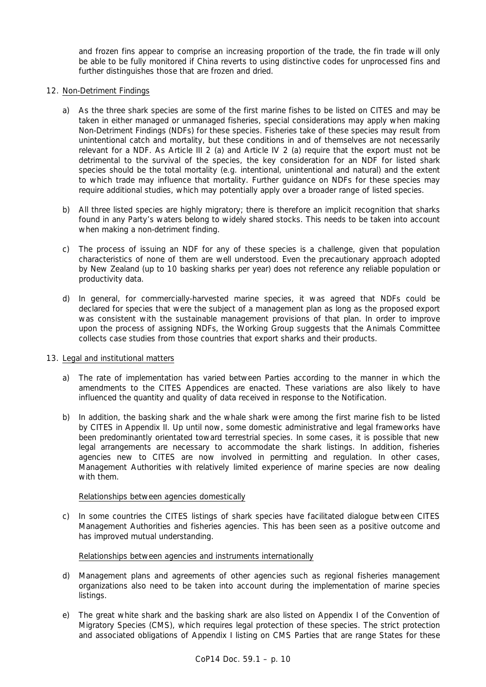and frozen fins appear to comprise an increasing proportion of the trade, the fin trade will only be able to be fully monitored if China reverts to using distinctive codes for unprocessed fins and further distinguishes those that are frozen and dried.

## 12. Non-Detriment Findings

- a) As the three shark species are some of the first marine fishes to be listed on CITES and may be taken in either managed or unmanaged fisheries, special considerations may apply when making Non-Detriment Findings (NDFs) for these species. Fisheries take of these species may result from unintentional catch and mortality, but these conditions in and of themselves are not necessarily relevant for a NDF. As Article III 2 (a) and Article IV 2 (a) require that the export must not be detrimental to the survival of the species, the key consideration for an NDF for listed shark species should be the total mortality (e.g. intentional, unintentional and natural) and the extent to which trade may influence that mortality. Further guidance on NDFs for these species may require additional studies, which may potentially apply over a broader range of listed species.
- b) All three listed species are highly migratory; there is therefore an implicit recognition that sharks found in any Party's waters belong to widely shared stocks. This needs to be taken into account when making a non-detriment finding.
- c) The process of issuing an NDF for any of these species is a challenge, given that population characteristics of none of them are well understood. Even the precautionary approach adopted by New Zealand (up to 10 basking sharks per year) does not reference any reliable population or productivity data.
- d) In general, for commercially-harvested marine species, it was agreed that NDFs could be declared for species that were the subject of a management plan as long as the proposed export was consistent with the sustainable management provisions of that plan. In order to improve upon the process of assigning NDFs, the Working Group suggests that the Animals Committee collects case studies from those countries that export sharks and their products.

### 13. Legal and institutional matters

- a) The rate of implementation has varied between Parties according to the manner in which the amendments to the CITES Appendices are enacted. These variations are also likely to have influenced the quantity and quality of data received in response to the Notification.
- b) In addition, the basking shark and the whale shark were among the first marine fish to be listed by CITES in Appendix II. Up until now, some domestic administrative and legal frameworks have been predominantly orientated toward terrestrial species. In some cases, it is possible that new legal arrangements are necessary to accommodate the shark listings. In addition, fisheries agencies new to CITES are now involved in permitting and regulation. In other cases, Management Authorities with relatively limited experience of marine species are now dealing with them.

# Relationships between agencies domestically

 c) In some countries the CITES listings of shark species have facilitated dialogue between CITES Management Authorities and fisheries agencies. This has been seen as a positive outcome and has improved mutual understanding.

# Relationships between agencies and instruments internationally

- d) Management plans and agreements of other agencies such as regional fisheries management organizations also need to be taken into account during the implementation of marine species listings.
- e) The great white shark and the basking shark are also listed on Appendix I of the Convention of Migratory Species (CMS), which requires legal protection of these species. The strict protection and associated obligations of Appendix I listing on CMS Parties that are range States for these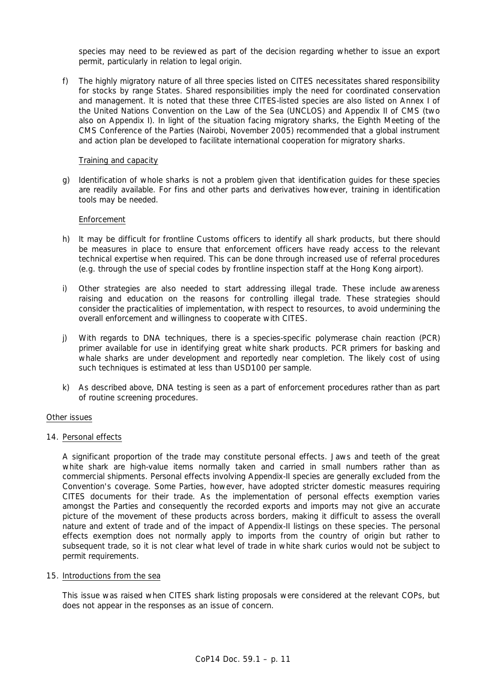species may need to be reviewed as part of the decision regarding whether to issue an export permit, particularly in relation to legal origin.

 f) The highly migratory nature of all three species listed on CITES necessitates shared responsibility for stocks by range States. Shared responsibilities imply the need for coordinated conservation and management. It is noted that these three CITES-listed species are also listed on Annex I of the United Nations Convention on the Law of the Sea (UNCLOS) and Appendix II of CMS (two also on Appendix I). In light of the situation facing migratory sharks, the Eighth Meeting of the CMS Conference of the Parties (Nairobi, November 2005) recommended that a global instrument and action plan be developed to facilitate international cooperation for migratory sharks.

### Training and capacity

 g) Identification of whole sharks is not a problem given that identification guides for these species are readily available. For fins and other parts and derivatives however, training in identification tools may be needed.

### Enforcement

- h) It may be difficult for frontline Customs officers to identify all shark products, but there should be measures in place to ensure that enforcement officers have ready access to the relevant technical expertise when required. This can be done through increased use of referral procedures (e.g. through the use of special codes by frontline inspection staff at the Hong Kong airport).
- i) Other strategies are also needed to start addressing illegal trade. These include awareness raising and education on the reasons for controlling illegal trade. These strategies should consider the practicalities of implementation, with respect to resources, to avoid undermining the overall enforcement and willingness to cooperate with CITES.
- j) With regards to DNA techniques, there is a species-specific polymerase chain reaction (PCR) primer available for use in identifying great white shark products. PCR primers for basking and whale sharks are under development and reportedly near completion. The likely cost of using such techniques is estimated at less than USD100 per sample.
- k) As described above, DNA testing is seen as a part of enforcement procedures rather than as part of routine screening procedures.

### Other issues

### 14. Personal effects

 A significant proportion of the trade may constitute personal effects. Jaws and teeth of the great white shark are high-value items normally taken and carried in small numbers rather than as commercial shipments. Personal effects involving Appendix-II species are generally excluded from the Convention's coverage. Some Parties, however, have adopted stricter domestic measures requiring CITES documents for their trade. As the implementation of personal effects exemption varies amongst the Parties and consequently the recorded exports and imports may not give an accurate picture of the movement of these products across borders, making it difficult to assess the overall nature and extent of trade and of the impact of Appendix-II listings on these species. The personal effects exemption does not normally apply to imports from the country of origin but rather to subsequent trade, so it is not clear what level of trade in white shark curios would not be subject to permit requirements.

### 15. Introductions from the sea

 This issue was raised when CITES shark listing proposals were considered at the relevant COPs, but does not appear in the responses as an issue of concern.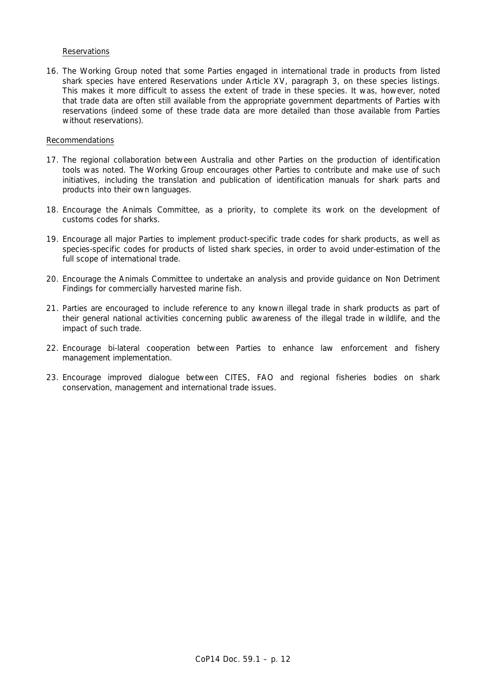## **Reservations**

16. The Working Group noted that some Parties engaged in international trade in products from listed shark species have entered Reservations under Article XV, paragraph 3, on these species listings. This makes it more difficult to assess the extent of trade in these species. It was, however, noted that trade data are often still available from the appropriate government departments of Parties with reservations (indeed some of these trade data are more detailed than those available from Parties without reservations).

### Recommendations

- 17. The regional collaboration between Australia and other Parties on the production of identification tools was noted. The Working Group encourages other Parties to contribute and make use of such initiatives, including the translation and publication of identification manuals for shark parts and products into their own languages.
- 18. Encourage the Animals Committee, as a priority, to complete its work on the development of customs codes for sharks.
- 19. Encourage all major Parties to implement product-specific trade codes for shark products, as well as species-specific codes for products of listed shark species, in order to avoid under-estimation of the full scope of international trade.
- 20. Encourage the Animals Committee to undertake an analysis and provide guidance on Non Detriment Findings for commercially harvested marine fish.
- 21. Parties are encouraged to include reference to any known illegal trade in shark products as part of their general national activities concerning public awareness of the illegal trade in wildlife, and the impact of such trade.
- 22. Encourage bi-lateral cooperation between Parties to enhance law enforcement and fishery management implementation.
- 23. Encourage improved dialogue between CITES, FAO and regional fisheries bodies on shark conservation, management and international trade issues.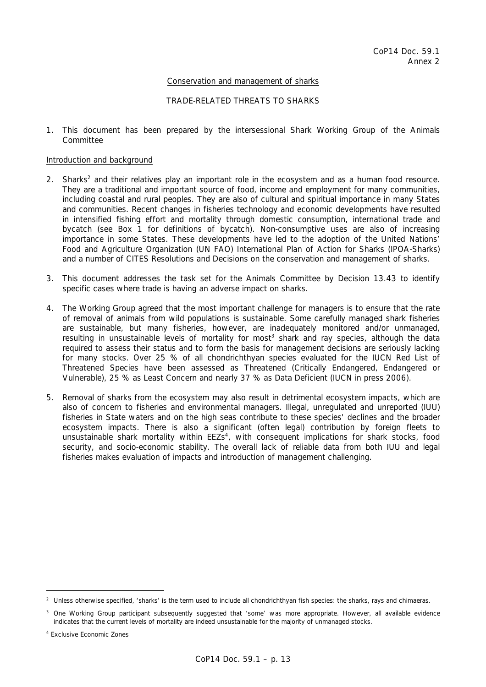## Conservation and management of sharks

## TRADE-RELATED THREATS TO SHARKS

1. This document has been prepared by the intersessional Shark Working Group of the Animals Committee

### Introduction and background

- 2. Sharks<sup>2</sup> and their relatives play an important role in the ecosystem and as a human food resource. They are a traditional and important source of food, income and employment for many communities, including coastal and rural peoples. They are also of cultural and spiritual importance in many States and communities. Recent changes in fisheries technology and economic developments have resulted in intensified fishing effort and mortality through domestic consumption, international trade and bycatch (see Box 1 for definitions of bycatch). Non-consumptive uses are also of increasing importance in some States. These developments have led to the adoption of the United Nations' Food and Agriculture Organization (UN FAO) International Plan of Action for Sharks (IPOA-Sharks) and a number of CITES Resolutions and Decisions on the conservation and management of sharks.
- 3. This document addresses the task set for the Animals Committee by Decision 13.43 to identify specific cases where trade is having an adverse impact on sharks.
- 4. The Working Group agreed that the most important challenge for managers is to ensure that the rate of removal of animals from wild populations is sustainable. Some carefully managed shark fisheries are sustainable, but many fisheries, however, are inadequately monitored and/or unmanaged, resulting in unsustainable levels of mortality for most<sup>3</sup> shark and ray species, although the data required to assess their status and to form the basis for management decisions are seriously lacking for many stocks. Over 25 % of all chondrichthyan species evaluated for the IUCN Red List of Threatened Species have been assessed as Threatened (Critically Endangered, Endangered or Vulnerable), 25 % as Least Concern and nearly 37 % as Data Deficient (IUCN in press 2006).
- 5. Removal of sharks from the ecosystem may also result in detrimental ecosystem impacts, which are also of concern to fisheries and environmental managers. Illegal, unregulated and unreported (IUU) fisheries in State waters and on the high seas contribute to these species' declines and the broader ecosystem impacts. There is also a significant (often legal) contribution by foreign fleets to unsustainable shark mortality within  $EEZs<sup>4</sup>$ , with consequent implications for shark stocks, food security, and socio-economic stability. The overall lack of reliable data from both IUU and legal fisheries makes evaluation of impacts and introduction of management challenging.

 $\overline{a}$ 

*<sup>2</sup> Unless otherwise specified, 'sharks' is the term used to include all chondrichthyan fish species: the sharks, rays and chimaeras.* 

*<sup>3</sup> One Working Group participant subsequently suggested that 'some' was more appropriate. However, all available evidence indicates that the current levels of mortality are indeed unsustainable for the majority of unmanaged stocks.* 

*<sup>4</sup> Exclusive Economic Zones*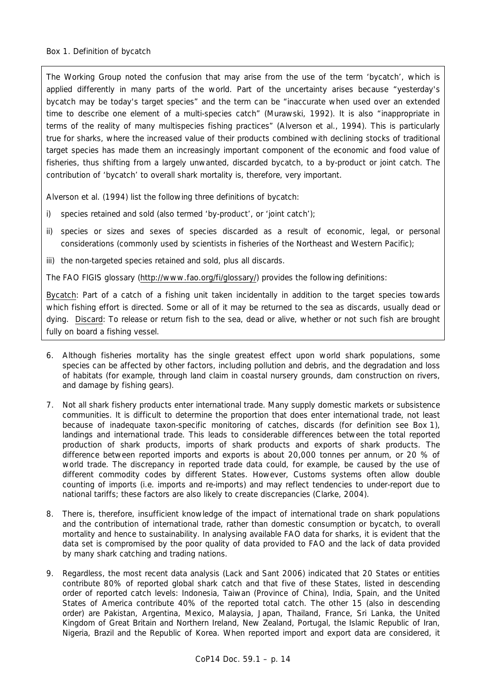The Working Group noted the confusion that may arise from the use of the term 'bycatch', which is applied differently in many parts of the world. Part of the uncertainty arises because "yesterday's bycatch may be today's target species" and the term can be "inaccurate when used over an extended time to describe one element of a multi-species catch" (Murawski, 1992). It is also "inappropriate in terms of the reality of many multispecies fishing practices" (Alverson *et al*., 1994). This is particularly true for sharks, where the increased value of their products combined with declining stocks of traditional target species has made them an increasingly important component of the economic and food value of fisheries, thus shifting from a largely unwanted, discarded bycatch, to a by-product or joint catch. The contribution of 'bycatch' to overall shark mortality is, therefore, very important.

Alverson *et al*. (1994) list the following three definitions of bycatch:

- *i) species retained and sold (also termed 'by-product', or 'joint catch');*
- ii) species or sizes and sexes of species discarded as a result of economic, legal, or personal *considerations (commonly used by scientists in fisheries of the Northeast and Western Pacific);*
- *iii) the non-targeted species retained and sold, plus all discards.*

The FAO FIGIS glossary (http://www.fao.org/fi/glossary/) provides the following definitions:

*Bycatch: Part of a catch of a fishing unit taken incidentally in addition to the target species towards which fishing effort is directed. Some or all of it may be returned to the sea as discards, usually dead or dying. Discard: To release or return fish to the sea, dead or alive, whether or not such fish are brought fully on board a fishing vessel.* 

- 6. Although fisheries mortality has the single greatest effect upon world shark populations, some species can be affected by other factors, including pollution and debris, and the degradation and loss of habitats (for example, through land claim in coastal nursery grounds, dam construction on rivers, and damage by fishing gears).
- 7. Not all shark fishery products enter international trade. Many supply domestic markets or subsistence communities. It is difficult to determine the proportion that does enter international trade, not least because of inadequate taxon-specific monitoring of catches, discards (for definition see Box 1), landings and international trade. This leads to considerable differences between the total reported production of shark products, imports of shark products and exports of shark products. The difference between reported imports and exports is about 20,000 tonnes *per annum*, or 20 % of world trade. The discrepancy in reported trade data could, for example, be caused by the use of different commodity codes by different States. However, Customs systems often allow double counting of imports (i.e. imports and re-imports) and may reflect tendencies to under-report due to national tariffs; these factors are also likely to create discrepancies (Clarke, 2004).
- 8. There is, therefore, insufficient knowledge of the impact of international trade on shark populations and the contribution of international trade, rather than domestic consumption or bycatch, to overall mortality and hence to sustainability. In analysing available FAO data for sharks, it is evident that the data set is compromised by the poor quality of data provided to FAO and the lack of data provided by many shark catching and trading nations.
- 9. Regardless, the most recent data analysis (Lack and Sant 2006) indicated that 20 States or entities contribute 80% of reported global shark catch and that five of these States, listed in descending order of reported catch levels: Indonesia, Taiwan (Province of China), India, Spain, and the United States of America contribute 40% of the reported total catch. The other 15 (also in descending order) are Pakistan, Argentina, Mexico, Malaysia, Japan, Thailand, France, Sri Lanka, the United Kingdom of Great Britain and Northern Ireland, New Zealand, Portugal, the Islamic Republic of Iran, Nigeria, Brazil and the Republic of Korea. When reported import and export data are considered, it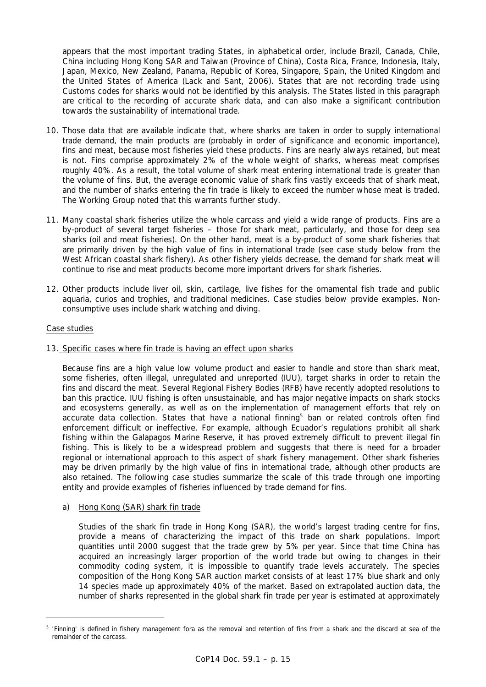appears that the most important trading States, in alphabetical order, include Brazil, Canada, Chile, China including Hong Kong SAR and Taiwan (Province of China), Costa Rica, France, Indonesia, Italy, Japan, Mexico, New Zealand, Panama, Republic of Korea, Singapore, Spain, the United Kingdom and the United States of America (Lack and Sant, 2006). States that are not recording trade using Customs codes for sharks would not be identified by this analysis. The States listed in this paragraph are critical to the recording of accurate shark data, and can also make a significant contribution towards the sustainability of international trade.

- 10. Those data that are available indicate that, where sharks are taken in order to supply international trade demand, the main products are (probably in order of significance and economic importance), fins and meat, because most fisheries yield these products. Fins are nearly always retained, but meat is not. Fins comprise approximately 2% of the whole weight of sharks, whereas meat comprises roughly 40%. As a result, the total volume of shark meat entering international trade is greater than the volume of fins. But, the average economic value of shark fins vastly exceeds that of shark meat, and the number of sharks entering the fin trade is likely to exceed the number whose meat is traded. The Working Group noted that this warrants further study.
- 11. Many coastal shark fisheries utilize the whole carcass and yield a wide range of products. Fins are a by-product of several target fisheries – those for shark meat, particularly, and those for deep sea sharks (oil and meat fisheries). On the other hand, meat is a by-product of some shark fisheries that are primarily driven by the high value of fins in international trade (see case study below from the West African coastal shark fishery). As other fishery yields decrease, the demand for shark meat will continue to rise and meat products become more important drivers for shark fisheries.
- 12. Other products include liver oil, skin, cartilage, live fishes for the ornamental fish trade and public aquaria, curios and trophies, and traditional medicines. Case studies below provide examples. Nonconsumptive uses include shark watching and diving.

## Case studies

### 13. Specific cases where fin trade is having an effect upon sharks

 Because fins are a high value low volume product and easier to handle and store than shark meat, some fisheries, often illegal, unregulated and unreported (IUU), target sharks in order to retain the fins and discard the meat. Several Regional Fishery Bodies (RFB) have recently adopted resolutions to ban this practice. IUU fishing is often unsustainable, and has major negative impacts on shark stocks and ecosystems generally, as well as on the implementation of management efforts that rely on accurate data collection. States that have a national finning<sup>5</sup> ban or related controls often find enforcement difficult or ineffective. For example, although Ecuador's regulations prohibit all shark fishing within the Galapagos Marine Reserve, it has proved extremely difficult to prevent illegal fin fishing. This is likely to be a widespread problem and suggests that there is need for a broader regional or international approach to this aspect of shark fishery management. Other shark fisheries may be driven primarily by the high value of fins in international trade, although other products are also retained. The following case studies summarize the scale of this trade through one importing entity and provide examples of fisheries influenced by trade demand for fins.

a) Hong Kong (SAR) shark fin trade

 Studies of the shark fin trade in Hong Kong (SAR), the world's largest trading centre for fins, provide a means of characterizing the impact of this trade on shark populations. Import quantities until 2000 suggest that the trade grew by 5% per year. Since that time China has acquired an increasingly larger proportion of the world trade but owing to changes in their commodity coding system, it is impossible to quantify trade levels accurately. The species composition of the Hong Kong SAR auction market consists of at least 17% blue shark and only 14 species made up approximately 40% of the market. Based on extrapolated auction data, the number of sharks represented in the global shark fin trade per year is estimated at approximately

*<sup>5 &#</sup>x27;Finning' is defined in fishery management fora as the removal and retention of fins from a shark and the discard at sea of the remainder of the carcass.*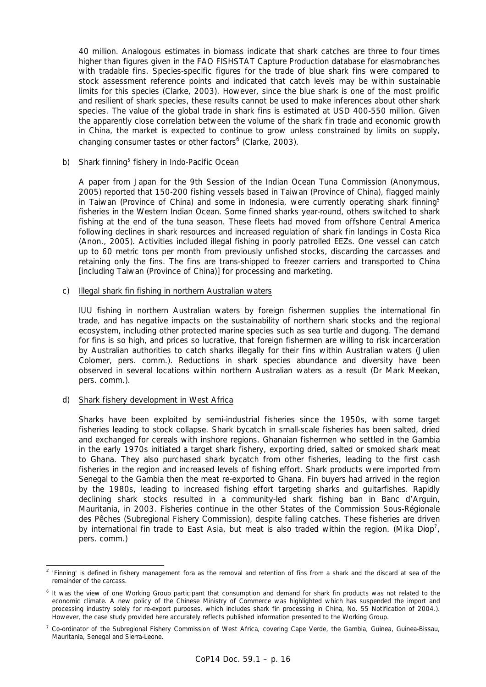40 million. Analogous estimates in biomass indicate that shark catches are three to four times higher than figures given in the FAO FISHSTAT Capture Production database for elasmobranches with tradable fins. Species-specific figures for the trade of blue shark fins were compared to stock assessment reference points and indicated that catch levels may be within sustainable limits for this species (Clarke, 2003). However, since the blue shark is one of the most prolific and resilient of shark species, these results cannot be used to make inferences about other shark species. The value of the global trade in shark fins is estimated at USD 400-550 million. Given the apparently close correlation between the volume of the shark fin trade and economic growth in China, the market is expected to continue to grow unless constrained by limits on supply, changing consumer tastes or other factors<sup>6</sup> (Clarke, 2003).

## b) Shark finning<sup>5</sup> fishery in Indo-Pacific Ocean

 A paper from Japan for the 9th Session of the Indian Ocean Tuna Commission (Anonymous, 2005) reported that 150-200 fishing vessels based in Taiwan (Province of China), flagged mainly in Taiwan (Province of China) and some in Indonesia, were currently operating shark finning<sup>5</sup> fisheries in the Western Indian Ocean. Some finned sharks year-round, others switched to shark fishing at the end of the tuna season. These fleets had moved from offshore Central America following declines in shark resources and increased regulation of shark fin landings in Costa Rica (Anon., 2005). Activities included illegal fishing in poorly patrolled EEZs. One vessel can catch up to 60 metric tons per month from previously unfished stocks, discarding the carcasses and retaining only the fins. The fins are trans-shipped to freezer carriers and transported to China [including Taiwan (Province of China)] for processing and marketing.

## c) Illegal shark fin fishing in northern Australian waters

 IUU fishing in northern Australian waters by foreign fishermen supplies the international fin trade, and has negative impacts on the sustainability of northern shark stocks and the regional ecosystem, including other protected marine species such as sea turtle and dugong. The demand for fins is so high, and prices so lucrative, that foreign fishermen are willing to risk incarceration by Australian authorities to catch sharks illegally for their fins within Australian waters (Julien Colomer, pers. comm.). Reductions in shark species abundance and diversity have been observed in several locations within northern Australian waters as a result (Dr Mark Meekan, pers. comm.).

### d) Shark fishery development in West Africa

 Sharks have been exploited by semi-industrial fisheries since the 1950s, with some target fisheries leading to stock collapse. Shark bycatch in small-scale fisheries has been salted, dried and exchanged for cereals with inshore regions. Ghanaian fishermen who settled in the Gambia in the early 1970s initiated a target shark fishery, exporting dried, salted or smoked shark meat to Ghana. They also purchased shark bycatch from other fisheries, leading to the first cash fisheries in the region and increased levels of fishing effort. Shark products were imported from Senegal to the Gambia then the meat re-exported to Ghana. Fin buyers had arrived in the region by the 1980s, leading to increased fishing effort targeting sharks and guitarfishes. Rapidly declining shark stocks resulted in a community-led shark fishing ban in Banc d'Arguin, Mauritania, in 2003. Fisheries continue in the other States of the Commission Sous-Régionale des Pêches (Subregional Fishery Commission), despite falling catches. These fisheries are driven by international fin trade to East Asia, but meat is also traded within the region. (Mika Diop<sup>7</sup>, pers. comm.)

*<sup>4</sup> 'Finning' is defined in fishery management fora as the removal and retention of fins from a shark and the discard at sea of the remainder of the carcass.* 

*<sup>6</sup> It was the view of one Working Group participant that consumption and demand for shark fin products was not related to the economic climate. A new policy of the Chinese Ministry of Commerce was highlighted which has suspended the import and processing industry solely for re-export purposes, which includes shark fin processing in China, No. 55 Notification of 2004.). However, the case study provided here accurately reflects published information presented to the Working Group.* 

*<sup>7</sup> Co-ordinator of the Subregional Fishery Commission of West Africa, covering Cape Verde, the Gambia, Guinea, Guinea-Bissau, Mauritania, Senegal and Sierra-Leone.*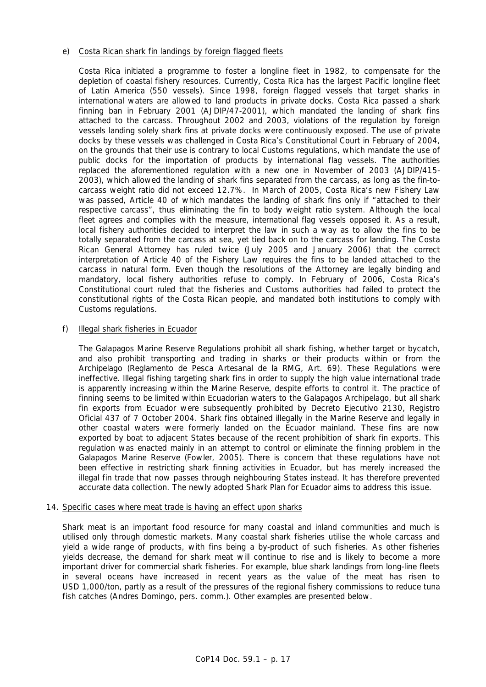# e) Costa Rican shark fin landings by foreign flagged fleets

 Costa Rica initiated a programme to foster a longline fleet in 1982, to compensate for the depletion of coastal fishery resources. Currently, Costa Rica has the largest Pacific longline fleet of Latin America (550 vessels). Since 1998, foreign flagged vessels that target sharks in international waters are allowed to land products in private docks. Costa Rica passed a shark finning ban in February 2001 (AJDIP/47-2001), which mandated the landing of shark fins attached to the carcass. Throughout 2002 and 2003, violations of the regulation by foreign vessels landing solely shark fins at private docks were continuously exposed. The use of private docks by these vessels was challenged in Costa Rica's Constitutional Court in February of 2004, on the grounds that their use is contrary to local Customs regulations, which mandate the use of public docks for the importation of products by international flag vessels. The authorities replaced the aforementioned regulation with a new one in November of 2003 (AJDIP/415- 2003), which allowed the landing of shark fins separated from the carcass, as long as the fin-tocarcass weight ratio did not exceed 12.7%. In March of 2005, Costa Rica's new Fishery Law was passed, Article 40 of which mandates the landing of shark fins only if "attached to their respective carcass", thus eliminating the fin to body weight ratio system. Although the local fleet agrees and complies with the measure, international flag vessels opposed it. As a result, local fishery authorities decided to interpret the law in such a way as to allow the fins to be totally separated from the carcass at sea, yet tied back on to the carcass for landing. The Costa Rican General Attorney has ruled twice (July 2005 and January 2006) that the correct interpretation of Article 40 of the Fishery Law requires the fins to be landed attached to the carcass in natural form. Even though the resolutions of the Attorney are legally binding and mandatory, local fishery authorities refuse to comply. In February of 2006, Costa Rica's Constitutional court ruled that the fisheries and Customs authorities had failed to protect the constitutional rights of the Costa Rican people, and mandated both institutions to comply with Customs regulations.

## f) Illegal shark fisheries in Ecuador

 The Galapagos Marine Reserve Regulations prohibit all shark fishing, whether target or bycatch, and also prohibit transporting and trading in sharks or their products within or from the Archipelago (Reglamento de Pesca Artesanal de la RMG, Art. 69). These Regulations were ineffective. Illegal fishing targeting shark fins in order to supply the high value international trade is apparently increasing within the Marine Reserve, despite efforts to control it. The practice of finning seems to be limited within Ecuadorian waters to the Galapagos Archipelago, but all shark fin exports from Ecuador were subsequently prohibited by Decreto Ejecutivo 2130, Registro Oficial 437 of 7 October 2004. Shark fins obtained illegally in the Marine Reserve and legally in other coastal waters were formerly landed on the Ecuador mainland. These fins are now exported by boat to adjacent States because of the recent prohibition of shark fin exports. This regulation was enacted mainly in an attempt to control or eliminate the finning problem in the Galapagos Marine Reserve (Fowler, 2005). There is concern that these regulations have not been effective in restricting shark finning activities in Ecuador, but has merely increased the illegal fin trade that now passes through neighbouring States instead. It has therefore prevented accurate data collection. The newly adopted Shark Plan for Ecuador aims to address this issue.

### 14. Specific cases where meat trade is having an effect upon sharks

 Shark meat is an important food resource for many coastal and inland communities and much is utilised only through domestic markets. Many coastal shark fisheries utilise the whole carcass and yield a wide range of products, with fins being a by-product of such fisheries. As other fisheries yields decrease, the demand for shark meat will continue to rise and is likely to become a more important driver for commercial shark fisheries. For example, blue shark landings from long-line fleets in several oceans have increased in recent years as the value of the meat has risen to USD 1,000/ton, partly as a result of the pressures of the regional fishery commissions to reduce tuna fish catches (Andres Domingo, pers. comm.). Other examples are presented below.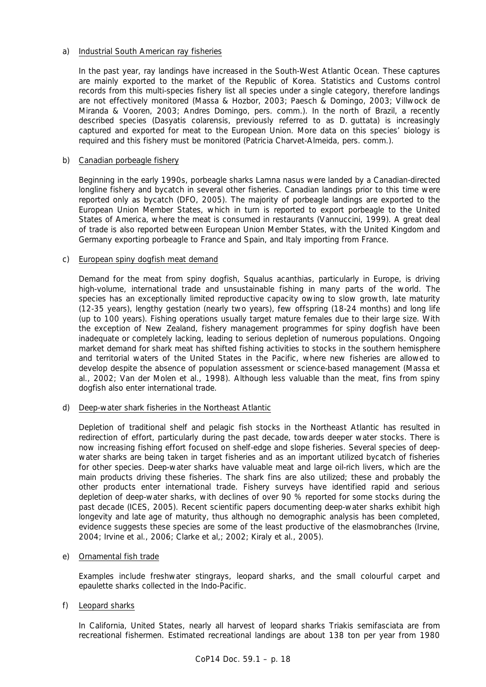# a) Industrial South American ray fisheries

 In the past year, ray landings have increased in the South-West Atlantic Ocean. These captures are mainly exported to the market of the Republic of Korea. Statistics and Customs control records from this multi-species fishery list all species under a single category, therefore landings are not effectively monitored (Massa & Hozbor, 2003; Paesch & Domingo, 2003; Villwock de Miranda & Vooren, 2003; Andres Domingo, pers. comm.). In the north of Brazil, a recently described species (*Dasyatis colarensis*, previously referred to as *D. guttata*) is increasingly captured and exported for meat to the European Union. More data on this species' biology is required and this fishery must be monitored (Patricia Charvet-Almeida, pers. comm.).

## b) Canadian porbeagle fishery

 Beginning in the early 1990s, porbeagle sharks *Lamna nasus* were landed by a Canadian-directed longline fishery and bycatch in several other fisheries. Canadian landings prior to this time were reported only as bycatch (DFO, 2005). The majority of porbeagle landings are exported to the European Union Member States, which in turn is reported to export porbeagle to the United States of America, where the meat is consumed in restaurants (Vannuccini, 1999). A great deal of trade is also reported between European Union Member States, with the United Kingdom and Germany exporting porbeagle to France and Spain, and Italy importing from France.

### c) European spiny dogfish meat demand

 Demand for the meat from spiny dogfish, *Squalus acanthias*, particularly in Europe, is driving high-volume, international trade and unsustainable fishing in many parts of the world. The species has an exceptionally limited reproductive capacity owing to slow growth, late maturity (12-35 years), lengthy gestation (nearly two years), few offspring (18-24 months) and long life (up to 100 years). Fishing operations usually target mature females due to their large size. With the exception of New Zealand, fishery management programmes for spiny dogfish have been inadequate or completely lacking, leading to serious depletion of numerous populations. Ongoing market demand for shark meat has shifted fishing activities to stocks in the southern hemisphere and territorial waters of the United States in the Pacific, where new fisheries are allowed to develop despite the absence of population assessment or science-based management (Massa *et al*., 2002; Van der Molen *et al.,* 1998). Although less valuable than the meat, fins from spiny dogfish also enter international trade.

# d) Deep-water shark fisheries in the Northeast Atlantic

 Depletion of traditional shelf and pelagic fish stocks in the Northeast Atlantic has resulted in redirection of effort, particularly during the past decade, towards deeper water stocks. There is now increasing fishing effort focused on shelf-edge and slope fisheries. Several species of deepwater sharks are being taken in target fisheries and as an important utilized bycatch of fisheries for other species. Deep-water sharks have valuable meat and large oil-rich livers, which are the main products driving these fisheries. The shark fins are also utilized; these and probably the other products enter international trade. Fishery surveys have identified rapid and serious depletion of deep-water sharks, with declines of over 90 % reported for some stocks during the past decade (ICES, 2005). Recent scientific papers documenting deep-water sharks exhibit high longevity and late age of maturity, thus although no demographic analysis has been completed, evidence suggests these species are some of the least productive of the elasmobranches (Irvine, 2004; Irvine *et al*., 2006; Clarke *et al,*; 2002; Kiraly *et al*., 2005).

# e) Ornamental fish trade

 Examples include freshwater stingrays, leopard sharks, and the small colourful carpet and epaulette sharks collected in the Indo-Pacific.

# f) Leopard sharks

 In California, United States, nearly all harvest of leopard sharks *Triakis semifasciata* are from recreational fishermen. Estimated recreational landings are about 138 ton per year from 1980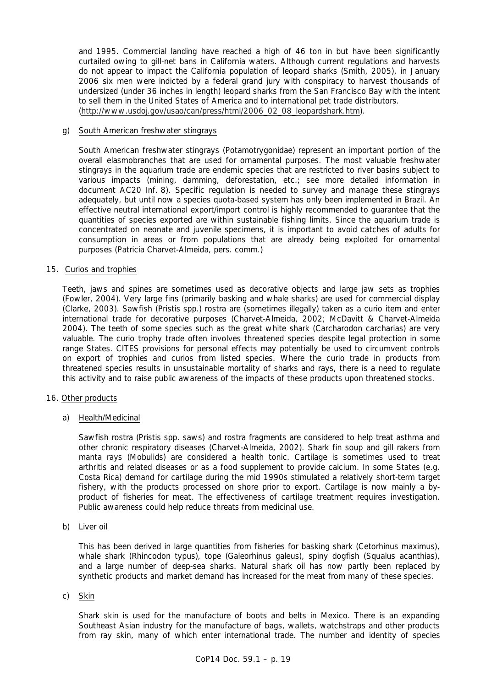and 1995. Commercial landing have reached a high of 46 ton in but have been significantly curtailed owing to gill-net bans in California waters. Although current regulations and harvests do not appear to impact the California population of leopard sharks (Smith, 2005), in January 2006 six men were indicted by a federal grand jury with conspiracy to harvest thousands of undersized (under 36 inches in length) leopard sharks from the San Francisco Bay with the intent to sell them in the United States of America and to international pet trade distributors. (http://www.usdoj.gov/usao/can/press/html/2006\_02\_08\_leopardshark.htm).

## g) South American freshwater stingrays

 South American freshwater stingrays (Potamotrygonidae) represent an important portion of the overall elasmobranches that are used for ornamental purposes. The most valuable freshwater stingrays in the aquarium trade are endemic species that are restricted to river basins subject to various impacts (mining, damming, deforestation, etc.; see more detailed information in document AC20 Inf. 8). Specific regulation is needed to survey and manage these stingrays adequately, but until now a species quota-based system has only been implemented in Brazil. An effective neutral international export/import control is highly recommended to guarantee that the quantities of species exported are within sustainable fishing limits. Since the aquarium trade is concentrated on neonate and juvenile specimens, it is important to avoid catches of adults for consumption in areas or from populations that are already being exploited for ornamental purposes (Patricia Charvet-Almeida, pers. comm.)

## 15. Curios and trophies

 Teeth, jaws and spines are sometimes used as decorative objects and large jaw sets as trophies (Fowler, 2004). Very large fins (primarily basking and whale sharks) are used for commercial display (Clarke, 2003). Sawfish (*Pristis* spp.) rostra are (sometimes illegally) taken as a curio item and enter international trade for decorative purposes (Charvet-Almeida, 2002; McDavitt & Charvet-Almeida 2004). The teeth of some species such as the great white shark (*Carcharodon carcharias*) are very valuable. The curio trophy trade often involves threatened species despite legal protection in some range States. CITES provisions for personal effects may potentially be used to circumvent controls on export of trophies and curios from listed species. Where the curio trade in products from threatened species results in unsustainable mortality of sharks and rays, there is a need to regulate this activity and to raise public awareness of the impacts of these products upon threatened stocks.

### 16. Other products

a) Health/Medicinal

Sawfish rostra (*Pristis* spp. saws) and rostra fragments are considered to help treat asthma and other chronic respiratory diseases (Charvet-Almeida, 2002). Shark fin soup and gill rakers from manta rays (Mobulids) are considered a health tonic. Cartilage is sometimes used to treat arthritis and related diseases or as a food supplement to provide calcium. In some States (e.g. Costa Rica) demand for cartilage during the mid 1990s stimulated a relatively short-term target fishery, with the products processed on shore prior to export. Cartilage is now mainly a byproduct of fisheries for meat. The effectiveness of cartilage treatment requires investigation. Public awareness could help reduce threats from medicinal use.

b) Liver oil

 This has been derived in large quantities from fisheries for basking shark (*Cetorhinus maximus*), whale shark (*Rhincodon typus*), tope (*Galeorhinus galeus*), spiny dogfish (*Squalus acanthias*), and a large number of deep-sea sharks. Natural shark oil has now partly been replaced by synthetic products and market demand has increased for the meat from many of these species.

### c) Skin

 Shark skin is used for the manufacture of boots and belts in Mexico. There is an expanding Southeast Asian industry for the manufacture of bags, wallets, watchstraps and other products from ray skin, many of which enter international trade. The number and identity of species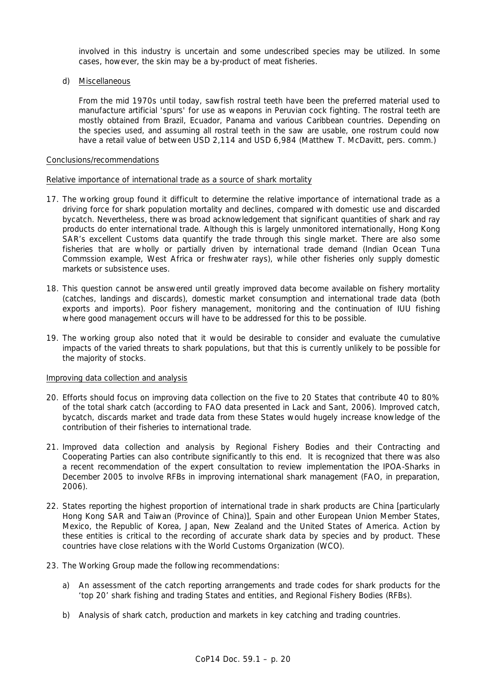involved in this industry is uncertain and some undescribed species may be utilized. In some cases, however, the skin may be a by-product of meat fisheries.

d) Miscellaneous

 From the mid 1970s until today, sawfish rostral teeth have been the preferred material used to manufacture artificial 'spurs' for use as weapons in Peruvian cock fighting. The rostral teeth are mostly obtained from Brazil, Ecuador, Panama and various Caribbean countries. Depending on the species used, and assuming all rostral teeth in the saw are usable, one rostrum could now have a retail value of between USD 2,114 and USD 6,984 (Matthew T. McDavitt, pers. comm.)

### Conclusions/recommendations

### Relative importance of international trade as a source of shark mortality

- 17. The working group found it difficult to determine the relative importance of international trade as a driving force for shark population mortality and declines, compared with domestic use and discarded bycatch. Nevertheless, there was broad acknowledgement that significant quantities of shark and ray products do enter international trade. Although this is largely unmonitored internationally, Hong Kong SAR's excellent Customs data quantify the trade through this single market. There are also some fisheries that are wholly or partially driven by international trade demand (Indian Ocean Tuna Commssion example, West Africa or freshwater rays), while other fisheries only supply domestic markets or subsistence uses.
- 18. This question cannot be answered until greatly improved data become available on fishery mortality (catches, landings and discards), domestic market consumption and international trade data (both exports and imports). Poor fishery management, monitoring and the continuation of IUU fishing where good management occurs will have to be addressed for this to be possible.
- 19. The working group also noted that it would be desirable to consider and evaluate the cumulative impacts of the varied threats to shark populations, but that this is currently unlikely to be possible for the majority of stocks.

### Improving data collection and analysis

- 20. Efforts should focus on improving data collection on the five to 20 States that contribute 40 to 80% of the total shark catch (according to FAO data presented in Lack and Sant, 2006). Improved catch, bycatch, discards market and trade data from these States would hugely increase knowledge of the contribution of their fisheries to international trade.
- 21. Improved data collection and analysis by Regional Fishery Bodies and their Contracting and Cooperating Parties can also contribute significantly to this end. It is recognized that there was also a recent recommendation of the expert consultation to review implementation the IPOA-Sharks in December 2005 to involve RFBs in improving international shark management (FAO, in preparation, 2006).
- 22. States reporting the highest proportion of international trade in shark products are China [particularly Hong Kong SAR and Taiwan (Province of China)], Spain and other European Union Member States, Mexico, the Republic of Korea, Japan, New Zealand and the United States of America. Action by these entities is critical to the recording of accurate shark data by species and by product. These countries have close relations with the World Customs Organization (WCO).
- 23. The Working Group made the following recommendations:
	- a) An assessment of the catch reporting arrangements and trade codes for shark products for the 'top 20' shark fishing and trading States and entities, and Regional Fishery Bodies (RFBs).
	- b) Analysis of shark catch, production and markets in key catching and trading countries.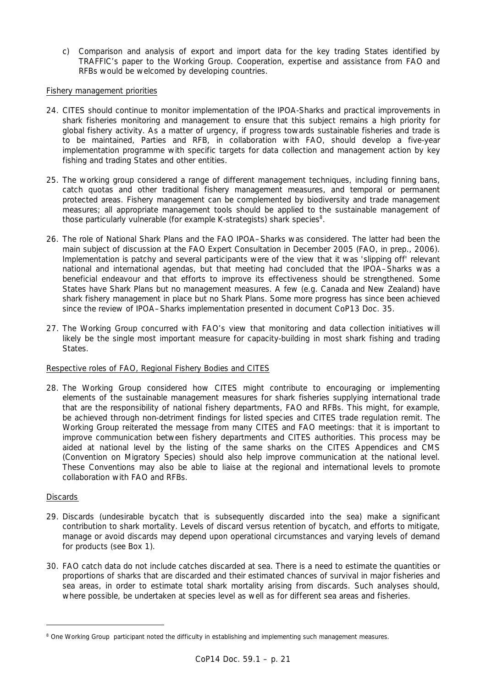c) Comparison and analysis of export and import data for the key trading States identified by TRAFFIC's paper to the Working Group. Cooperation, expertise and assistance from FAO and RFBs would be welcomed by developing countries.

## Fishery management priorities

- 24. CITES should continue to monitor implementation of the IPOA-Sharks and practical improvements in shark fisheries monitoring and management to ensure that this subject remains a high priority for global fishery activity. As a matter of urgency, if progress towards sustainable fisheries and trade is to be maintained, Parties and RFB, in collaboration with FAO, should develop a five-year implementation programme with specific targets for data collection and management action by key fishing and trading States and other entities.
- 25. The working group considered a range of different management techniques, including finning bans, catch quotas and other traditional fishery management measures, and temporal or permanent protected areas. Fishery management can be complemented by biodiversity and trade management measures; all appropriate management tools should be applied to the sustainable management of those particularly vulnerable (for example K-strategists) shark species<sup>8</sup>.
- 26. The role of National Shark Plans and the FAO IPOA–Sharks was considered. The latter had been the main subject of discussion at the FAO Expert Consultation in December 2005 (FAO, in prep., 2006). Implementation is patchy and several participants were of the view that it was 'slipping off' relevant national and international agendas, but that meeting had concluded that the IPOA–Sharks was a beneficial endeavour and that efforts to improve its effectiveness should be strengthened. Some States have Shark Plans but no management measures. A few (e.g. Canada and New Zealand) have shark fishery management in place but no Shark Plans. Some more progress has since been achieved since the review of IPOA–Sharks implementation presented in document CoP13 Doc. 35.
- 27. The Working Group concurred with FAO's view that monitoring and data collection initiatives will likely be the single most important measure for capacity-building in most shark fishing and trading States.

# Respective roles of FAO, Regional Fishery Bodies and CITES

28. The Working Group considered how CITES might contribute to encouraging or implementing elements of the sustainable management measures for shark fisheries supplying international trade that are the responsibility of national fishery departments, FAO and RFBs. This might, for example, be achieved through non-detriment findings for listed species and CITES trade regulation remit. The Working Group reiterated the message from many CITES and FAO meetings: that it is important to improve communication between fishery departments and CITES authorities. This process may be aided at national level by the listing of the same sharks on the CITES Appendices and CMS (Convention on Migratory Species) should also help improve communication at the national level. These Conventions may also be able to liaise at the regional and international levels to promote collaboration with FAO and RFBs.

### **Discards**

- 29. Discards (undesirable bycatch that is subsequently discarded into the sea) make a significant contribution to shark mortality. Levels of discard *versus* retention of bycatch, and efforts to mitigate, manage or avoid discards may depend upon operational circumstances and varying levels of demand for products (see Box 1).
- 30. FAO catch data do not include catches discarded at sea. There is a need to estimate the quantities or proportions of sharks that are discarded and their estimated chances of survival in major fisheries and sea areas, in order to estimate total shark mortality arising from discards. Such analyses should, where possible, be undertaken at species level as well as for different sea areas and fisheries.

*<sup>8</sup> One Working Group participant noted the difficulty in establishing and implementing such management measures.*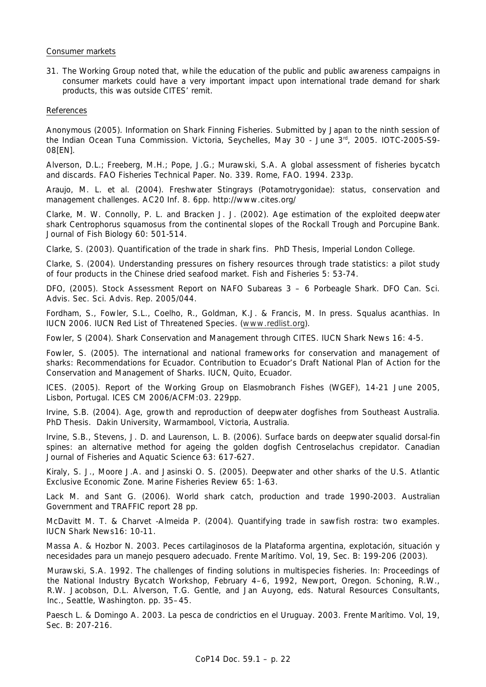### Consumer markets

31. The Working Group noted that, while the education of the public and public awareness campaigns in consumer markets could have a very important impact upon international trade demand for shark products, this was outside CITES' remit.

### References

Anonymous (2005). Information on Shark Finning Fisheries. Submitted by Japan to the ninth session of the Indian Ocean Tuna Commission. Victoria, Seychelles, May 30 - June 3<sup>rd</sup>, 2005. IOTC-2005-S9-08[EN].

Alverson, D.L.; Freeberg, M.H.; Pope, J.G.; Murawski, S.A. A global assessment of fisheries bycatch and discards. *FAO Fisheries Technical Paper*. No. 339. Rome, FAO. 1994. 233p.

Araujo, M. L. *et al*. (2004). Freshwater Stingrays (Potamotrygonidae): status, conservation and management challenges. AC20 Inf. 8. 6pp. http://www.cites.org/

Clarke, M. W. Connolly, P. L. and Bracken J. J. (2002). Age estimation of the exploited deepwater shark *Centrophorus squamosus* from the continental slopes of the Rockall Trough and Porcupine Bank. *Journal of Fish Biology* 60: 501-514.

Clarke, S. (2003). Quantification of the trade in shark fins. PhD Thesis, Imperial London College.

Clarke, S. (2004). Understanding pressures on fishery resources through trade statistics: a pilot study of four products in the Chinese dried seafood market*. Fish and Fisheries* 5: 53-74.

DFO, (2005). Stock Assessment Report on NAFO Subareas 3 – 6 Porbeagle Shark. *DFO Can. Sci. Advis. Sec. Sci. Advis. Rep.* 2005/044.

Fordham, S., Fowler, S.L., Coelho, R., Goldman, K.J. & Francis, M. In press. *Squalus acanthias*. In IUCN 2006*. IUCN Red List of Threatened Species*. (www.redlist.org).

Fowler, S (2004). Shark Conservation and Management through CITES. IUCN Shark News 16: 4-5.

Fowler, S. (2005). The international and national frameworks for conservation and management of sharks: Recommendations for Ecuador. *Contribution to Ecuador's Draft National Plan of Action for the Conservation and Management of Sharks*. IUCN, Quito, Ecuador.

ICES. (2005). Report of the Working Group on Elasmobranch Fishes (WGEF), 14-21 June 2005, Lisbon, Portugal. ICES CM 2006/ACFM:03. 229pp.

Irvine, S.B. (2004). Age, growth and reproduction of deepwater dogfishes from Southeast Australia. PhD Thesis. Dakin University, Warmambool, Victoria, Australia.

Irvine, S.B., Stevens, J. D. and Laurenson, L. B. (2006). Surface bards on deepwater squalid dorsal-fin spines: an alternative method for ageing the golden dogfish *Centroselachus crepidator*. *Canadian Journal of Fisheries and Aquatic Science* 63: 617-627.

Kiraly, S. J., Moore J.A. and Jasinski O. S. (2005). Deepwater and other sharks of the U.S. Atlantic Exclusive Economic Zone. *Marine Fisheries Review* 65: 1-63.

Lack M. and Sant G. (2006). World shark catch, production and trade 1990-2003. Australian Government and TRAFFIC report 28 pp.

McDavitt M. T. & Charvet -Almeida P. (2004). Quantifying trade in sawfish rostra: two examples. IUCN Shark News16: 10-11.

Massa A. & Hozbor N. 2003. Peces cartilaginosos de la Plataforma argentina, explotación, situación y necesidades para un manejo pesquero adecuado. *Frente Marítim*o. Vol, 19, Sec. B: 199-206 (2003).

Murawski, S.A. 1992. The challenges of finding solutions in multispecies fisheries. In: Proceedings of the National Industry Bycatch Workshop, February 4–6, 1992, Newport, Oregon. Schoning, R.W., R.W. Jacobson, D.L. Alverson, T.G. Gentle, and Jan Auyong, eds. Natural Resources Consultants, Inc., Seattle, Washington. pp. 35–45.

Paesch L. & Domingo A. 2003. La pesca de condrictios en el Uruguay. 2003*. Frente Marítimo*. Vol, 19, Sec. B: 207-216.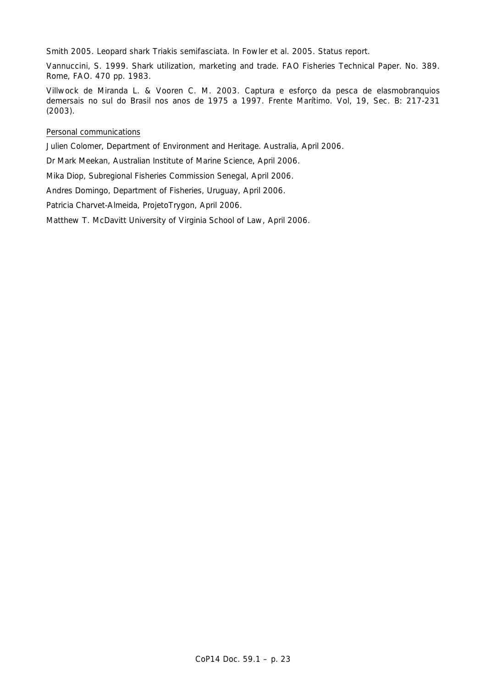Smith 2005. Leopard shark *Triakis semifasciata*. In Fowler et al. 2005. Status report.

Vannuccini, S. 1999. Shark utilization, marketing and trade. *FAO Fisheries Technical Paper.* No. 389. Rome, FAO. 470 pp. 1983.

Villwock de Miranda L. & Vooren C. M. 2003. Captura e esforço da pesca de elasmobranquios demersais no sul do Brasil nos anos de 1975 a 1997. *Frente Marítimo*. Vol, 19, Sec. B: 217-231 (2003).

## Personal communications

Julien Colomer, Department of Environment and Heritage. Australia, April 2006.

Dr Mark Meekan, Australian Institute of Marine Science, April 2006.

Mika Diop, Subregional Fisheries Commission Senegal, April 2006.

Andres Domingo, Department of Fisheries, Uruguay, April 2006.

Patricia Charvet-Almeida, ProjetoTrygon, April 2006.

Matthew T. McDavitt University of Virginia School of Law, April 2006.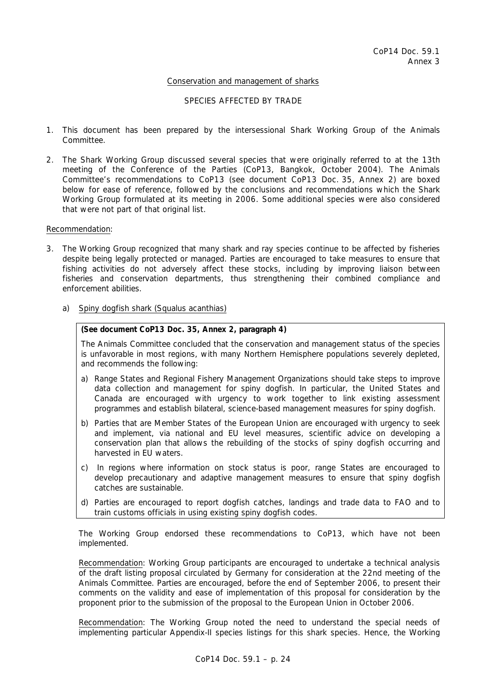## Conservation and management of sharks

### SPECIES AFFECTED BY TRADE

- 1. This document has been prepared by the intersessional Shark Working Group of the Animals Committee.
- 2. The Shark Working Group discussed several species that were originally referred to at the 13th meeting of the Conference of the Parties (CoP13, Bangkok, October 2004). The Animals Committee's recommendations to CoP13 (see document CoP13 Doc. 35, Annex 2) are boxed below for ease of reference, followed by the conclusions and recommendations which the Shark Working Group formulated at its meeting in 2006. Some additional species were also considered that were not part of that original list.

#### Recommendation:

- 3. The Working Group recognized that many shark and ray species continue to be affected by fisheries despite being legally protected or managed. Parties are encouraged to take measures to ensure that fishing activities do not adversely affect these stocks, including by improving liaison between fisheries and conservation departments, thus strengthening their combined compliance and enforcement abilities.
	- a) Spiny dogfish shark *(Squalus acanthias)*

## **(See document CoP13 Doc. 35, Annex 2, paragraph 4)**

*The Animals Committee concluded that the conservation and management status of the species is unfavorable in most regions, with many Northern Hemisphere populations severely depleted, and recommends the following:* 

- *a) Range States and Regional Fishery Management Organizations should take steps to improve data collection and management for spiny dogfish. In particular, the United States and Canada are encouraged with urgency to work together to link existing assessment programmes and establish bilateral, science-based management measures for spiny dogfish.*
- *b) Parties that are Member States of the European Union are encouraged with urgency to seek and implement, via national and EU level measures, scientific advice on developing a conservation plan that allows the rebuilding of the stocks of spiny dogfish occurring and harvested in EU waters.*
- *c) In regions where information on stock status is poor, range States are encouraged to develop precautionary and adaptive management measures to ensure that spiny dogfish catches are sustainable.*
- *d) Parties are encouraged to report dogfish catches, landings and trade data to FAO and to train customs officials in using existing spiny dogfish codes.*

 The Working Group endorsed these recommendations to CoP13, which have not been implemented.

 Recommendation: Working Group participants are encouraged to undertake a technical analysis of the draft listing proposal circulated by Germany for consideration at the 22nd meeting of the Animals Committee. Parties are encouraged, before the end of September 2006, to present their comments on the validity and ease of implementation of this proposal for consideration by the proponent prior to the submission of the proposal to the European Union in October 2006.

 Recommendation: The Working Group noted the need to understand the special needs of implementing particular Appendix-II species listings for this shark species. Hence, the Working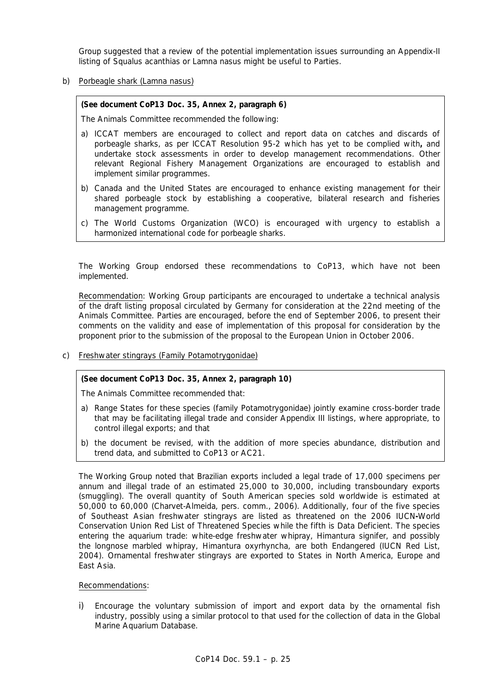Group suggested that a review of the potential implementation issues surrounding an Appendix-II listing of *Squalus acanthias* or *Lamna nasus* might be useful to Parties.

b) Porbeagle shark *(Lamna nasus)*

### **(See document CoP13 Doc. 35, Annex 2, paragraph 6)**

*The Animals Committee recommended the following:* 

- *a) ICCAT members are encouraged to collect and report data on catches and discards of porbeagle sharks, as per ICCAT Resolution 95-2 which has yet to be complied with, and undertake stock assessments in order to develop management recommendations. Other relevant Regional Fishery Management Organizations are encouraged to establish and implement similar programmes.*
- *b) Canada and the United States are encouraged to enhance existing management for their shared porbeagle stock by establishing a cooperative, bilateral research and fisheries management programme.*
- *c) The World Customs Organization (WCO) is encouraged with urgency to establish a harmonized international code for porbeagle sharks.*

 The Working Group endorsed these recommendations to CoP13, which have not been implemented.

 Recommendation: Working Group participants are encouraged to undertake a technical analysis of the draft listing proposal circulated by Germany for consideration at the 22nd meeting of the Animals Committee. Parties are encouraged, before the end of September 2006, to present their comments on the validity and ease of implementation of this proposal for consideration by the proponent prior to the submission of the proposal to the European Union in October 2006.

c) Freshwater stingrays (Family Potamotrygonidae)

# **(See document CoP13 Doc. 35, Annex 2, paragraph 10)**

*The Animals Committee recommended that:* 

- *a) Range States for these species (family Potamotrygonidae) jointly examine cross-border trade that may be facilitating illegal trade and consider Appendix III listings, where appropriate, to control illegal exports; and that*
- *b) the document be revised, with the addition of more species abundance, distribution and trend data, and submitted to CoP13 or AC21.*

 The Working Group noted that Brazilian exports included a legal trade of 17,000 specimens per annum and illegal trade of an estimated 25,000 to 30,000, including transboundary exports (smuggling). The overall quantity of South American species sold worldwide is estimated at 50,000 to 60,000 (Charvet-Almeida, pers. comm., 2006). Additionally, four of the five species of Southeast Asian freshwater stingrays are listed as threatened on the 2006 IUCN**-**World Conservation Union Red List of Threatened Species while the fifth is Data Deficient. The species entering the aquarium trade: white-edge freshwater whipray, *Himantura signifer*, and possibly the longnose marbled whipray, *Himantura oxyrhyncha*, are both Endangered (IUCN Red List, 2004). Ornamental freshwater stingrays are exported to States in North America, Europe and East Asia.

### Recommendations:

i) Encourage the voluntary submission of import and export data by the ornamental fish industry, possibly using a similar protocol to that used for the collection of data in the Global Marine Aquarium Database.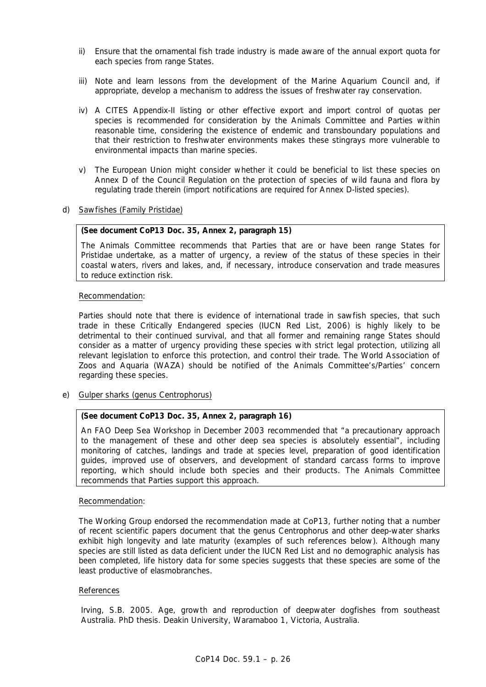- ii) Ensure that the ornamental fish trade industry is made aware of the annual export quota for each species from range States.
- iii) Note and learn lessons from the development of the Marine Aquarium Council and, if appropriate, develop a mechanism to address the issues of freshwater ray conservation.
- iv) A CITES Appendix-II listing or other effective export and import control of quotas per species is recommended for consideration by the Animals Committee and Parties within reasonable time, considering the existence of endemic and transboundary populations and that their restriction to freshwater environments makes these stingrays more vulnerable to environmental impacts than marine species.
- v) The European Union might consider whether it could be beneficial to list these species on Annex D of the Council Regulation on the protection of species of wild fauna and flora by regulating trade therein (import notifications are required for Annex D-listed species).
- d) Sawfishes (Family Pristidae)

### **(See document CoP13 Doc. 35, Annex 2, paragraph 15)**

*The Animals Committee recommends that Parties that are or have been range States for Pristidae undertake, as a matter of urgency, a review of the status of these species in their coastal waters, rivers and lakes, and, if necessary, introduce conservation and trade measures to reduce extinction risk.* 

## Recommendation:

 Parties should note that there is evidence of international trade in sawfish species, that such trade in these Critically Endangered species (IUCN Red List, 2006) is highly likely to be detrimental to their continued survival, and that all former and remaining range States should consider as a matter of urgency providing these species with strict legal protection, utilizing all relevant legislation to enforce this protection, and control their trade. The World Association of Zoos and Aquaria (WAZA) should be notified of the Animals Committee's/Parties' concern regarding these species.

e) Gulper sharks (genus *Centrophorus*)

# **(See document CoP13 Doc. 35, Annex 2, paragraph 16)**

*An FAO Deep Sea Workshop in December 2003 recommended that "a precautionary approach*  to the management of these and other deep sea species is absolutely essential", including *monitoring of catches, landings and trade at species level, preparation of good identification guides, improved use of observers, and development of standard carcass forms to improve reporting, which should include both species and their products. The Animals Committee recommends that Parties support this approach.* 

### Recommendation:

 The Working Group endorsed the recommendation made at CoP13, further noting that a number of recent scientific papers document that the genus *Centrophorus* and other deep-water sharks exhibit high longevity and late maturity (examples of such references below). Although many species are still listed as data deficient under the IUCN Red List and no demographic analysis has been completed, life history data for some species suggests that these species are some of the least productive of elasmobranches.

### References

Irving, S.B. 2005. Age, growth and reproduction of deepwater dogfishes from southeast Australia. PhD thesis. Deakin University, Waramaboo 1, Victoria, Australia.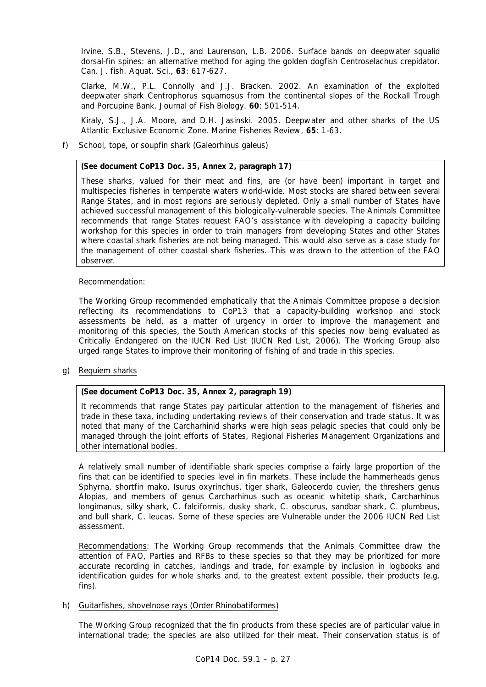Irvine, S.B., Stevens, J.D., and Laurenson, L.B. 2006. Surface bands on deepwater squalid dorsal-fin spines: an alternative method for aging the golden dogfish *Centroselachus crepidator*. *Can. J. fish. Aquat. Sci*., **63**: 617-627.

Clarke, M.W., P.L. Connolly and J.J. Bracken. 2002. An examination of the exploited deepwater shark *Centrophorus squamosus* from the continental slopes of the Rockall Trough and Porcupine Bank. *Journal of Fish Biology*. **60**: 501-514.

Kiraly, S.J., J.A. Moore, and D.H. Jasinski. 2005. Deepwater and other sharks of the US Atlantic Exclusive Economic Zone. *Marine Fisheries Review*, **65**: 1-63.

f) School, tope, or soupfin shark *(Galeorhinus galeus)*

# **(See document CoP13 Doc. 35, Annex 2, paragraph 17)**

*These sharks, valued for their meat and fins, are (or have been) important in target and multispecies fisheries in temperate waters world-wide. Most stocks are shared between several Range States, and in most regions are seriously depleted. Only a small number of States have achieved successful management of this biologically-vulnerable species. The Animals Committee recommends that range States request FAO's assistance with developing a capacity building workshop for this species in order to train managers from developing States and other States where coastal shark fisheries are not being managed. This would also serve as a case study for the management of other coastal shark fisheries. This was drawn to the attention of the FAO observer.* 

# Recommendation:

 The Working Group recommended emphatically that the Animals Committee propose a decision reflecting its recommendations to CoP13 that a capacity-building workshop and stock assessments be held, as a matter of urgency in order to improve the management and monitoring of this species, the South American stocks of this species now being evaluated as Critically Endangered on the IUCN Red List (IUCN Red List, 2006). The Working Group also urged range States to improve their monitoring of fishing of and trade in this species.

g) Requiem sharks

# **(See document CoP13 Doc. 35, Annex 2, paragraph 19)**

*It recommends that range States pay particular attention to the management of fisheries and trade in these taxa, including undertaking reviews of their conservation and trade status. It was noted that many of the Carcharhinid sharks were high seas pelagic species that could only be managed through the joint efforts of States, Regional Fisheries Management Organizations and other international bodies.* 

A relatively small number of identifiable shark species comprise a fairly large proportion of the fins that can be identified to species level in fin markets. These include the hammerheads genus *Sphyrna*, shortfin mako, *Isurus oxyrinchus*, tiger shark, *Galeocerdo cuvier*, the threshers genus *Alopias*, and members of genus *Carcharhinus* such as oceanic whitetip shark, *Carcharhinus longimanus*, silky shark, *C. falciformis*, dusky shark, *C. obscurus*, sandbar shark, *C. plumbeus*, and bull shark, *C. leucas*. Some of these species are Vulnerable under the 2006 IUCN Red List assessment.

 Recommendations: The Working Group recommends that the Animals Committee draw the attention of FAO, Parties and RFBs to these species so that they may be prioritized for more accurate recording in catches, landings and trade, for example by inclusion in logbooks and identification guides for whole sharks and, to the greatest extent possible, their products (e.g. fins).

### h) Guitarfishes, shovelnose rays (Order Rhinobatiformes)

 The Working Group recognized that the fin products from these species are of particular value in international trade; the species are also utilized for their meat. Their conservation status is of